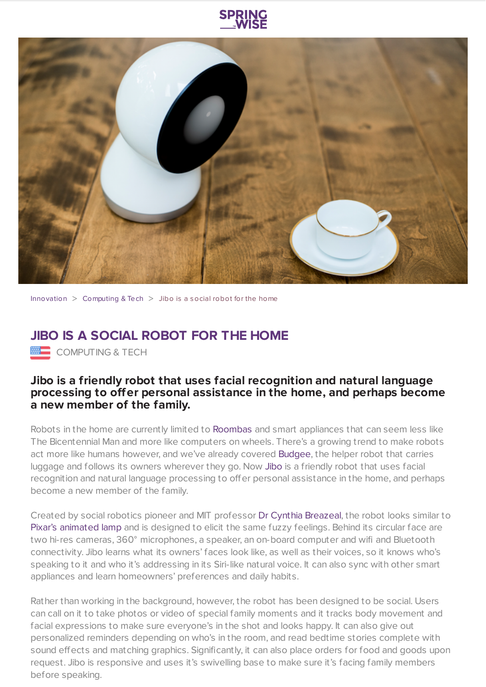



[Innovation](https://www.springwise.com/search?type=innovation)  $>$  [Computing](https://www.springwise.com/search?type=innovation§or=computing) & Tech  $>$  Jibo is a social robot for the home

## **JIBO IS A SOCIAL ROBOT FOR THE HOME**

**ENDERE COMPUTING & TECH** 

## **Jibo is a friendly robot that uses facial recognition and natural language processing to offer personal assistance in the home, and perhaps become a new member of the family.**

Robots in the home are currently limited to [Roombas](http://en.wikipedia.org/wiki/Roomba) and smart appliances that can seem less like The Bicentennial Man and more like computers on wheels. There's a growing trend to make robots act more like humans however, and we've already covered [Budgee,](https://www.springwise.com/human-tracking-helper-robot-takes-care-heavy-loads/) the helper robot that carries luggage and follows its owners wherever they go. Now [Jibo](http://www.myjibo.com/) is a friendly robot that uses facial recognition and natural language processing to offer personal assistance in the home, and perhaps become a new member of the family.

Created by social robotics pioneer and MIT professor Dr Cynthia [Breazeal,](http://web.media.mit.edu/~cynthiab/) the robot looks similar to Pixar's [animated](http://en.wikipedia.org/wiki/Luxo_Jr.) lamp and is designed to elicit the same fuzzy feelings. Behind its circular face are two hi-res cameras, 360° microphones, a speaker, an on-board computer and wifi and Bluetooth connectivity. Jibo learns what its owners' faces look like, as well as their voices, so it knows who's speaking to it and who it's addressing in its Siri-like natural voice. It can also sync with other smart appliances and learn homeowners' preferences and daily habits.

Rather than working in the background, however, the robot has been designed to be social. Users can call on it to take photos or video of special family moments and it tracks body movement and facial expressions to make sure everyone's in the shot and looks happy. It can also give out personalized reminders depending on who's in the room, and read bedtime stories complete with sound effects and matching graphics. Significantly, it can also place orders for food and goods upon request. Jibo is responsive and uses it's swivelling base to make sure it's facing family members before speaking.